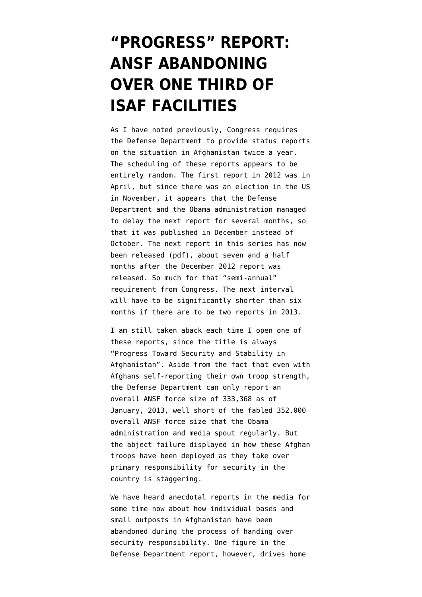## **["PROGRESS" REPORT:](https://www.emptywheel.net/2013/08/01/progress-report-ansf-abandoning-over-one-third-of-isaf-facilities/) [ANSF ABANDONING](https://www.emptywheel.net/2013/08/01/progress-report-ansf-abandoning-over-one-third-of-isaf-facilities/) [OVER ONE THIRD OF](https://www.emptywheel.net/2013/08/01/progress-report-ansf-abandoning-over-one-third-of-isaf-facilities/) [ISAF FACILITIES](https://www.emptywheel.net/2013/08/01/progress-report-ansf-abandoning-over-one-third-of-isaf-facilities/)**

As I have noted previously, Congress requires the Defense Department to provide status reports on the situation in Afghanistan twice a year. The scheduling of these reports appears to be entirely random. The first report in 2012 was in April, but since there was an election in the US in November, it appears that the [Defense](http://www.emptywheel.net/2012/12/12/delay-in-publishing-afghan-war-progress-report-forces-panetta-into-clarification-mode-re-safe-havens-in-pakistan/) [Department and the Obama administration managed](http://www.emptywheel.net/2012/12/12/delay-in-publishing-afghan-war-progress-report-forces-panetta-into-clarification-mode-re-safe-havens-in-pakistan/) [to delay the next report for several months](http://www.emptywheel.net/2012/12/12/delay-in-publishing-afghan-war-progress-report-forces-panetta-into-clarification-mode-re-safe-havens-in-pakistan/), so that it was published in December instead of October. The next report in this series [has now](http://www.defense.gov/pubs/Section_1230_Report_July_2013.pdf) [been released](http://www.defense.gov/pubs/Section_1230_Report_July_2013.pdf) (pdf), about seven and a half months after the December 2012 report was released. So much for that "semi-annual" requirement from Congress. The next interval will have to be significantly shorter than six months if there are to be two reports in 2013.

I am still taken aback each time I open one of these reports, since the title is always "Progress Toward Security and Stability in Afghanistan". Aside from the fact that even with [Afghans self-reporting their own troop strength,](http://www.emptywheel.net/2013/05/01/even-with-non-validated-afghan-self-reporting-sigar-finds-ansf-falls-short-of-352000-goal/) the Defense Department can only report an overall ANSF force size of 333,368 as of January, 2013, well short of the fabled 352,000 overall ANSF force size that the Obama administration and media spout regularly. But the abject failure displayed in how these Afghan troops have been deployed as they take over primary responsibility for security in the country is staggering.

We have heard anecdotal reports in the media for some time now about how individual bases and small outposts in Afghanistan have been abandoned during the process of handing over security responsibility. One figure in the Defense Department report, however, drives home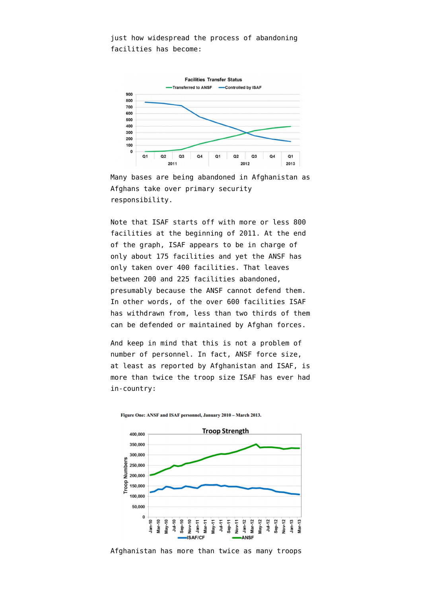just how widespread the process of abandoning facilities has become:



Many bases are being abandoned in Afghanistan as Afghans take over primary security responsibility.

Note that ISAF starts off with more or less 800 facilities at the beginning of 2011. At the end of the graph, ISAF appears to be in charge of only about 175 facilities and yet the ANSF has only taken over 400 facilities. That leaves between 200 and 225 facilities abandoned, presumably because the ANSF cannot defend them. In other words, of the over 600 facilities ISAF has withdrawn from, less than two thirds of them can be defended or maintained by Afghan forces.

And keep in mind that this is not a problem of number of personnel. In fact, ANSF force size, at least as reported by Afghanistan and ISAF, is more than twice the troop size ISAF has ever had in-country:



Figure One: ANSF and ISAF personnel, January 2010 - March 2013.

Afghanistan has more than twice as many troops